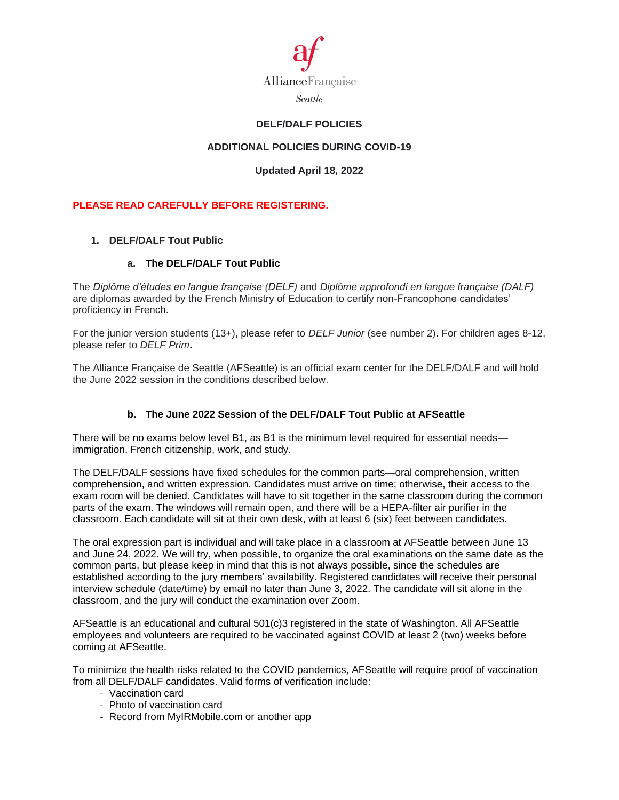

## **DELF/DALF POLICIES**

# **ADDITIONAL POLICIES DURING COVID-19**

## **Updated April 18, 2022**

# **PLEASE READ CAREFULLY BEFORE REGISTERING.**

## **1. DELF/DALF Tout Public**

### **a. The DELF/DALF Tout Public**

The *Diplôme d'études en langue française (DELF)* and *Diplôme approfondi en langue française (DALF)* are diplomas awarded by the French Ministry of Education to certify non-Francophone candidates' proficiency in French.

For the junior version students (13+), please refer to *DELF Junior* (see number 2). For children ages 8-12, please refer to *DELF Prim***.**

The Alliance Française de Seattle (AFSeattle) is an official exam center for the DELF/DALF and will hold the June 2022 session in the conditions described below.

## **b. The June 2022 Session of the DELF/DALF Tout Public at AFSeattle**

There will be no exams below level B1, as B1 is the minimum level required for essential needs immigration, French citizenship, work, and study.

The DELF/DALF sessions have fixed schedules for the common parts—oral comprehension, written comprehension, and written expression. Candidates must arrive on time; otherwise, their access to the exam room will be denied. Candidates will have to sit together in the same classroom during the common parts of the exam. The windows will remain open, and there will be a HEPA-filter air purifier in the classroom. Each candidate will sit at their own desk, with at least 6 (six) feet between candidates.

The oral expression part is individual and will take place in a classroom at AFSeattle between June 13 and June 24, 2022. We will try, when possible, to organize the oral examinations on the same date as the common parts, but please keep in mind that this is not always possible, since the schedules are established according to the jury members' availability. Registered candidates will receive their personal interview schedule (date/time) by email no later than June 3, 2022. The candidate will sit alone in the classroom, and the jury will conduct the examination over Zoom.

AFSeattle is an educational and cultural 501(c)3 registered in the state of Washington. All AFSeattle employees and volunteers are required to be vaccinated against COVID at least 2 (two) weeks before coming at AFSeattle.

To minimize the health risks related to the COVID pandemics, AFSeattle will require proof of vaccination from all DELF/DALF candidates. Valid forms of verification include:

- Vaccination card
- Photo of vaccination card
- Record from MyIRMobile.com or another app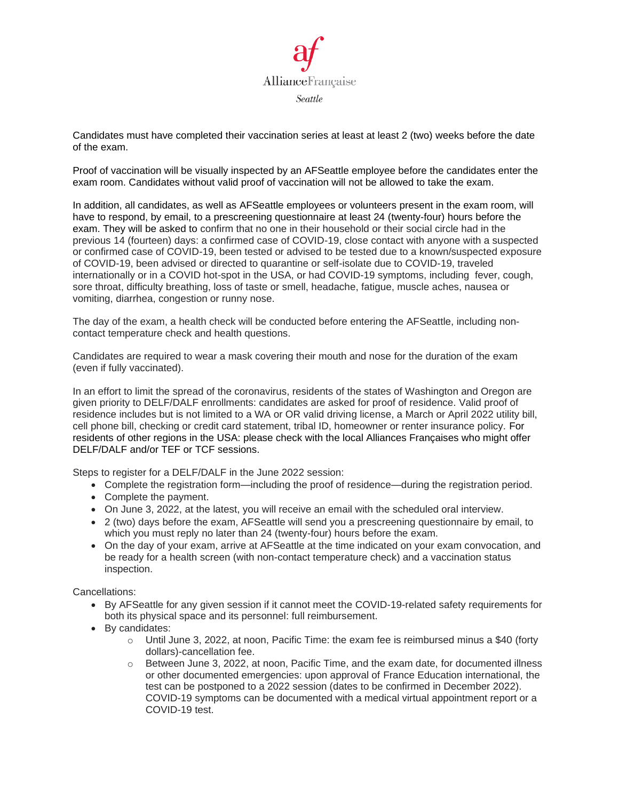

Candidates must have completed their vaccination series at least at least 2 (two) weeks before the date of the exam.

Proof of vaccination will be visually inspected by an AFSeattle employee before the candidates enter the exam room. Candidates without valid proof of vaccination will not be allowed to take the exam.

In addition, all candidates, as well as AFSeattle employees or volunteers present in the exam room, will have to respond, by email, to a prescreening questionnaire at least 24 (twenty-four) hours before the exam. They will be asked to confirm that no one in their household or their social circle had in the previous 14 (fourteen) days: a confirmed case of COVID-19, close contact with anyone with a suspected or confirmed case of COVID-19, been tested or advised to be tested due to a known/suspected exposure of COVID-19, been advised or directed to quarantine or self-isolate due to COVID-19, traveled internationally or in a COVID hot-spot in the USA, or had COVID-19 symptoms, including fever, cough, sore throat, difficulty breathing, loss of taste or smell, headache, fatigue, muscle aches, nausea or vomiting, diarrhea, congestion or runny nose.

The day of the exam, a health check will be conducted before entering the AFSeattle, including noncontact temperature check and health questions.

Candidates are required to wear a mask covering their mouth and nose for the duration of the exam (even if fully vaccinated).

In an effort to limit the spread of the coronavirus, residents of the states of Washington and Oregon are given priority to DELF/DALF enrollments: candidates are asked for proof of residence. Valid proof of residence includes but is not limited to a WA or OR valid driving license, a March or April 2022 utility bill, cell phone bill, checking or credit card statement, tribal ID, homeowner or renter insurance policy. For residents of other regions in the USA: please check with the local Alliances Françaises who might offer DELF/DALF and/or TEF or TCF sessions.

Steps to register for a DELF/DALF in the June 2022 session:

- Complete the registration form—including the proof of residence—during the registration period.
- Complete the payment.
- On June 3, 2022, at the latest, you will receive an email with the scheduled oral interview.
- 2 (two) days before the exam, AFSeattle will send you a prescreening questionnaire by email, to which you must reply no later than 24 (twenty-four) hours before the exam.
- On the day of your exam, arrive at AFSeattle at the time indicated on your exam convocation, and be ready for a health screen (with non-contact temperature check) and a vaccination status inspection.

Cancellations:

- By AFSeattle for any given session if it cannot meet the COVID-19-related safety requirements for both its physical space and its personnel: full reimbursement.
- By candidates:
	- $\circ$  Until June 3, 2022, at noon, Pacific Time: the exam fee is reimbursed minus a \$40 (forty dollars)-cancellation fee.
	- $\circ$  Between June 3, 2022, at noon, Pacific Time, and the exam date, for documented illness or other documented emergencies: upon approval of France Education international, the test can be postponed to a 2022 session (dates to be confirmed in December 2022). COVID-19 symptoms can be documented with a medical virtual appointment report or a COVID-19 test.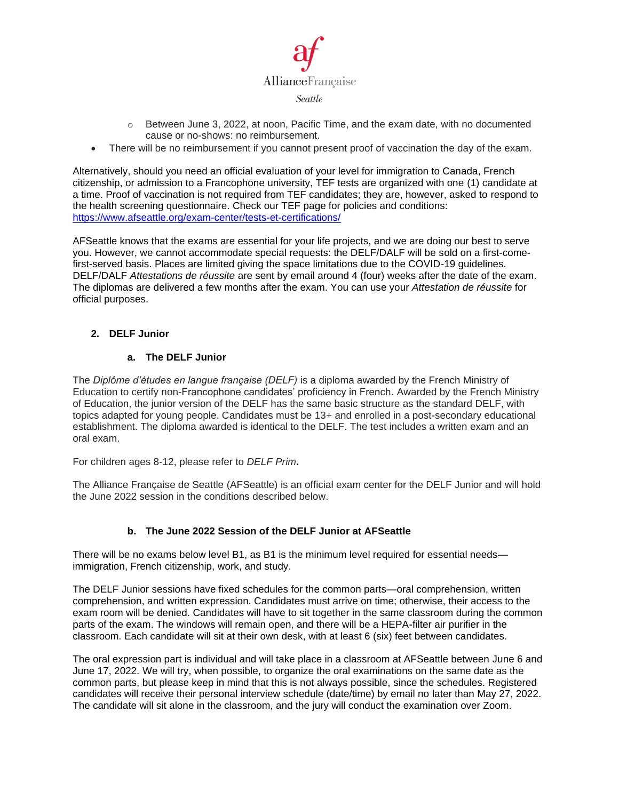

- $\circ$  Between June 3, 2022, at noon, Pacific Time, and the exam date, with no documented cause or no-shows: no reimbursement.
- There will be no reimbursement if you cannot present proof of vaccination the day of the exam.

Alternatively, should you need an official evaluation of your level for immigration to Canada, French citizenship, or admission to a Francophone university, TEF tests are organized with one (1) candidate at a time. Proof of vaccination is not required from TEF candidates; they are, however, asked to respond to the health screening questionnaire. Check our TEF page for policies and conditions: <https://www.afseattle.org/exam-center/tests-et-certifications/>

AFSeattle knows that the exams are essential for your life projects, and we are doing our best to serve you. However, we cannot accommodate special requests: the DELF/DALF will be sold on a first-comefirst-served basis. Places are limited giving the space limitations due to the COVID-19 guidelines. DELF/DALF *Attestations de réussite* are sent by email around 4 (four) weeks after the date of the exam. The diplomas are delivered a few months after the exam. You can use your *Attestation de réussite* for official purposes.

### **2. DELF Junior**

### **a. The DELF Junior**

The *Diplôme d'études en langue française (DELF)* is a diploma awarded by the French Ministry of Education to certify non-Francophone candidates' proficiency in French. Awarded by the French Ministry of Education, the junior version of the DELF has the same basic structure as the standard DELF, with topics adapted for young people. Candidates must be 13+ and enrolled in a post-secondary educational establishment. The diploma awarded is identical to the DELF. The test includes a written exam and an oral exam.

For children ages 8-12, please refer to *DELF Prim***.**

The Alliance Française de Seattle (AFSeattle) is an official exam center for the DELF Junior and will hold the June 2022 session in the conditions described below.

#### **b. The June 2022 Session of the DELF Junior at AFSeattle**

There will be no exams below level B1, as B1 is the minimum level required for essential needs immigration, French citizenship, work, and study.

The DELF Junior sessions have fixed schedules for the common parts—oral comprehension, written comprehension, and written expression. Candidates must arrive on time; otherwise, their access to the exam room will be denied. Candidates will have to sit together in the same classroom during the common parts of the exam. The windows will remain open, and there will be a HEPA-filter air purifier in the classroom. Each candidate will sit at their own desk, with at least 6 (six) feet between candidates.

The oral expression part is individual and will take place in a classroom at AFSeattle between June 6 and June 17, 2022. We will try, when possible, to organize the oral examinations on the same date as the common parts, but please keep in mind that this is not always possible, since the schedules. Registered candidates will receive their personal interview schedule (date/time) by email no later than May 27, 2022. The candidate will sit alone in the classroom, and the jury will conduct the examination over Zoom.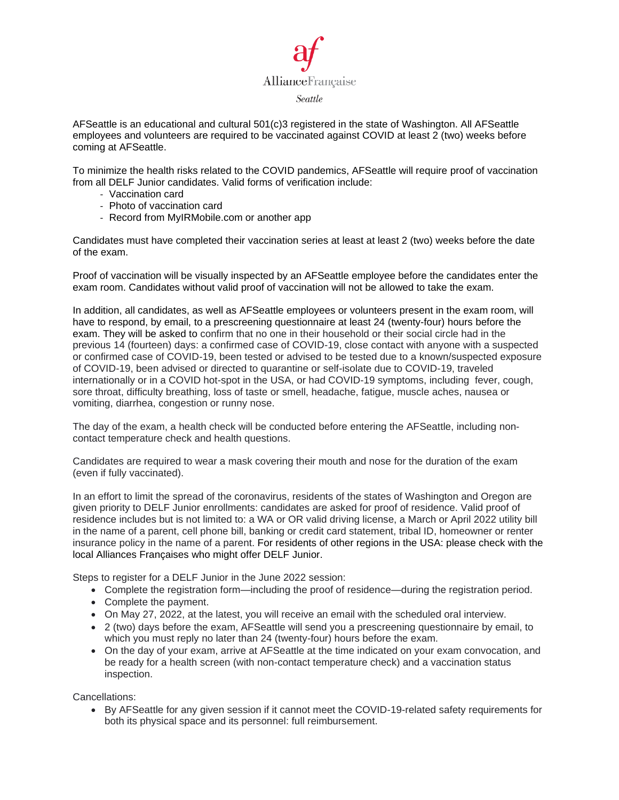

AFSeattle is an educational and cultural 501(c)3 registered in the state of Washington. All AFSeattle employees and volunteers are required to be vaccinated against COVID at least 2 (two) weeks before coming at AFSeattle.

To minimize the health risks related to the COVID pandemics, AFSeattle will require proof of vaccination from all DELF Junior candidates. Valid forms of verification include:

- Vaccination card
- Photo of vaccination card
- Record from MyIRMobile.com or another app

Candidates must have completed their vaccination series at least at least 2 (two) weeks before the date of the exam.

Proof of vaccination will be visually inspected by an AFSeattle employee before the candidates enter the exam room. Candidates without valid proof of vaccination will not be allowed to take the exam.

In addition, all candidates, as well as AFSeattle employees or volunteers present in the exam room, will have to respond, by email, to a prescreening questionnaire at least 24 (twenty-four) hours before the exam. They will be asked to confirm that no one in their household or their social circle had in the previous 14 (fourteen) days: a confirmed case of COVID-19, close contact with anyone with a suspected or confirmed case of COVID-19, been tested or advised to be tested due to a known/suspected exposure of COVID-19, been advised or directed to quarantine or self-isolate due to COVID-19, traveled internationally or in a COVID hot-spot in the USA, or had COVID-19 symptoms, including fever, cough, sore throat, difficulty breathing, loss of taste or smell, headache, fatigue, muscle aches, nausea or vomiting, diarrhea, congestion or runny nose.

The day of the exam, a health check will be conducted before entering the AFSeattle, including noncontact temperature check and health questions.

Candidates are required to wear a mask covering their mouth and nose for the duration of the exam (even if fully vaccinated).

In an effort to limit the spread of the coronavirus, residents of the states of Washington and Oregon are given priority to DELF Junior enrollments: candidates are asked for proof of residence. Valid proof of residence includes but is not limited to: a WA or OR valid driving license, a March or April 2022 utility bill in the name of a parent, cell phone bill, banking or credit card statement, tribal ID, homeowner or renter insurance policy in the name of a parent. For residents of other regions in the USA: please check with the local Alliances Françaises who might offer DELF Junior.

Steps to register for a DELF Junior in the June 2022 session:

- Complete the registration form—including the proof of residence—during the registration period.
- Complete the payment.
- On May 27, 2022, at the latest, you will receive an email with the scheduled oral interview.
- 2 (two) days before the exam, AFSeattle will send you a prescreening questionnaire by email, to which you must reply no later than 24 (twenty-four) hours before the exam.
- On the day of your exam, arrive at AFSeattle at the time indicated on your exam convocation, and be ready for a health screen (with non-contact temperature check) and a vaccination status inspection.

Cancellations:

• By AFSeattle for any given session if it cannot meet the COVID-19-related safety requirements for both its physical space and its personnel: full reimbursement.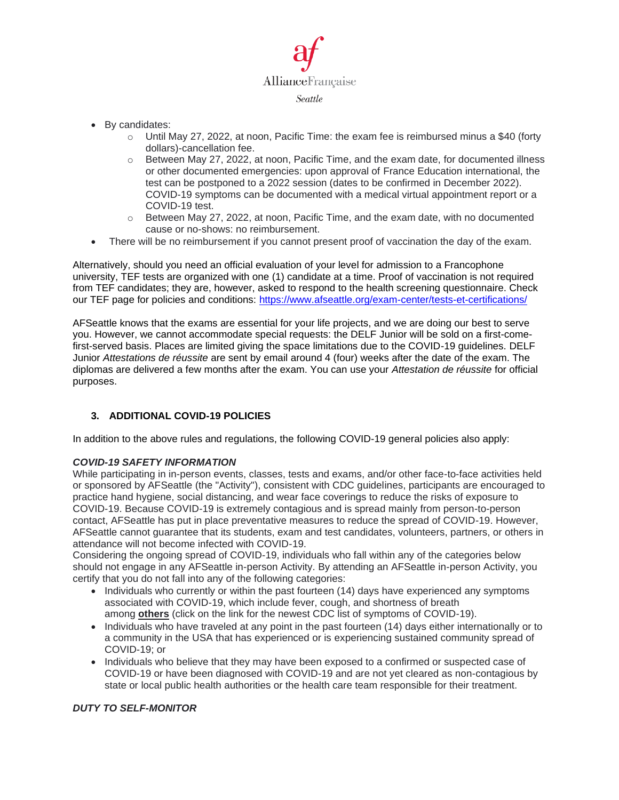

- By candidates:
	- $\circ$  Until May 27, 2022, at noon, Pacific Time: the exam fee is reimbursed minus a \$40 (forty dollars)-cancellation fee.
	- $\circ$  Between May 27, 2022, at noon, Pacific Time, and the exam date, for documented illness or other documented emergencies: upon approval of France Education international, the test can be postponed to a 2022 session (dates to be confirmed in December 2022). COVID-19 symptoms can be documented with a medical virtual appointment report or a COVID-19 test.
	- o Between May 27, 2022, at noon, Pacific Time, and the exam date, with no documented cause or no-shows: no reimbursement.
- There will be no reimbursement if you cannot present proof of vaccination the day of the exam.

Alternatively, should you need an official evaluation of your level for admission to a Francophone university, TEF tests are organized with one (1) candidate at a time. Proof of vaccination is not required from TEF candidates; they are, however, asked to respond to the health screening questionnaire. Check our TEF page for policies and conditions:<https://www.afseattle.org/exam-center/tests-et-certifications/>

AFSeattle knows that the exams are essential for your life projects, and we are doing our best to serve you. However, we cannot accommodate special requests: the DELF Junior will be sold on a first-comefirst-served basis. Places are limited giving the space limitations due to the COVID-19 guidelines. DELF Junior *Attestations de réussite* are sent by email around 4 (four) weeks after the date of the exam. The diplomas are delivered a few months after the exam. You can use your *Attestation de réussite* for official purposes.

## **3. ADDITIONAL COVID-19 POLICIES**

In addition to the above rules and regulations, the following COVID-19 general policies also apply:

#### *COVID-19 SAFETY INFORMATION*

While participating in in-person events, classes, tests and exams, and/or other face-to-face activities held or sponsored by AFSeattle (the "Activity"), consistent with CDC guidelines, participants are encouraged to practice hand hygiene, social distancing, and wear face coverings to reduce the risks of exposure to COVID-19. Because COVID-19 is extremely contagious and is spread mainly from person-to-person contact, AFSeattle has put in place preventative measures to reduce the spread of COVID-19. However, AFSeattle cannot guarantee that its students, exam and test candidates, volunteers, partners, or others in attendance will not become infected with COVID-19.

Considering the ongoing spread of COVID-19, individuals who fall within any of the categories below should not engage in any AFSeattle in-person Activity. By attending an AFSeattle in-person Activity, you certify that you do not fall into any of the following categories:

- Individuals who currently or within the past fourteen (14) days have experienced any symptoms associated with COVID-19, which include fever, cough, and shortness of breath among **[others](https://www.cdc.gov/coronavirus/2019-ncov/symptoms-testing/symptoms.html)** (click on the link for the newest CDC list of symptoms of COVID-19).
- Individuals who have traveled at any point in the past fourteen (14) days either internationally or to a community in the USA that has experienced or is experiencing sustained community spread of COVID-19; or
- Individuals who believe that they may have been exposed to a confirmed or suspected case of COVID-19 or have been diagnosed with COVID-19 and are not yet cleared as non-contagious by state or local public health authorities or the health care team responsible for their treatment.

#### *DUTY TO SELF-MONITOR*